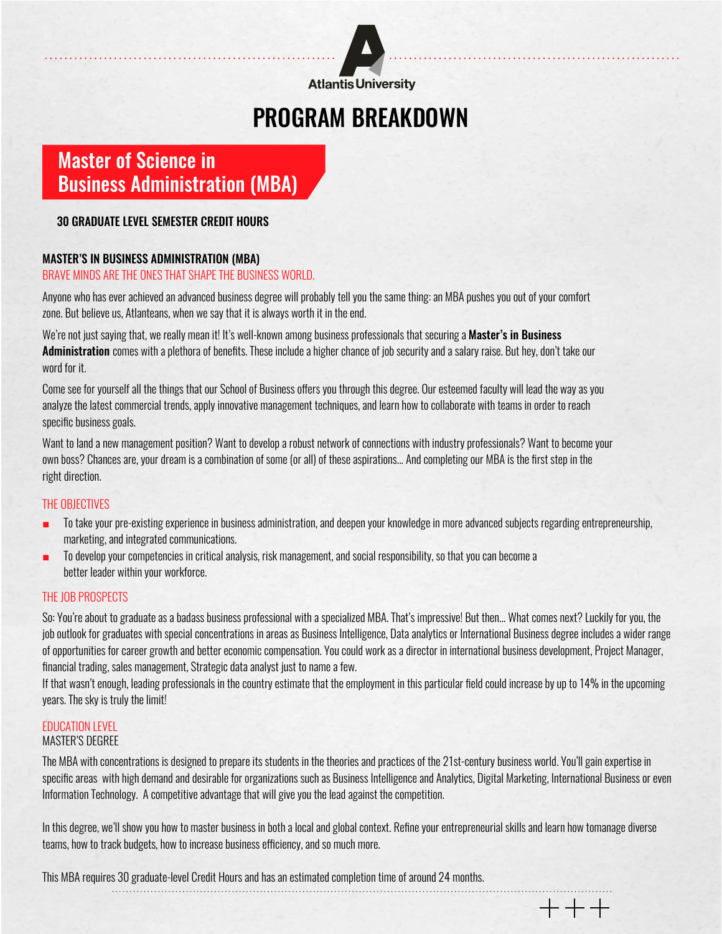

# PROGRAM BREAKDOWN

## Master of Science in Business Administration (MBA)

### 30 graduate level semester credit hours

### MASTER'S IN BUSINESS ADMINISTRATION (MBA)

#### BRAVE MINDS ARE THE ONES THAT SHAPE THE BUSINESS WORLD.

Anyone who has ever achieved an advanced business degree will probably tell you the same thing: an MBA pushes you out of your comfort zone. But believe us, Atlanteans, when we say that it is always worth it in the end.

We're not just saying that, we really mean it! It's well-known among business professionals that securing a Master's in Business Administration comes with a plethora of benefits. These include a higher chance of job security and a salary raise. But hey, don't take our word for it.

Come see for yourself all the things that our School of Business offers you through this degree. Our esteemed faculty will lead the way as you analyze the latest commercial trends, apply innovative management techniques, and learn how to collaborate with teams in order to reach specific business goals.

Want to land a new management position? Want to develop a robust network of connections with industry professionals? Want to become your own boss? Chances are, your dream is a combination of some (or all) of these aspirations... And completing our MBA is the first step in the right direction.

#### THE OBJECTIVES

- To take your pre-existing experience in business administration, and deepen your knowledge in more advanced subjects regarding entrepreneurship, marketing, and integrated communications.
- To develop your competencies in critical analysis, risk management, and social responsibility, so that you can become a better leader within your workforce.

#### THE JOB PROSPECTS

So: You're about to graduate as a badass business professional with a specialized MBA. That's impressive! But then... What comes next? Luckily for you, the job outlook for graduates with special concentrations in areas as Business Intelligence, Data analytics or International Business degree includes a wider range of opportunities for career growth and better economic compensation. You could work as a director in international business development, Project Manager, financial trading, sales management, Strategic data analyst just to name a few.

If that wasn't enough, leading professionals in the country estimate that the employment in this particular field could increase by up to 14% in the upcoming years. The sky is truly the limit!

#### EDUCATION LEVEL

#### MASTER'S DEGREE

The MBA with concentrations is designed to prepare its students in the theories and practices of the 21st-century business world. You'll gain expertise in specific areas with high demand and desirable for organizations such as Business Intelligence and Analytics, Digital Marketing, International Business or even Information Technology. A competitive advantage that will give you the lead against the competition.

In this degree, we'll show you how to master business in both a local and global context. Refine your entrepreneurial skills and learn how tomanage diverse teams, how to track budgets, how to increase business efficiency, and so much more.

 $+++$ 

This MBA requires 30 graduate-level Credit Hours and has an estimated completion time of around 24 months.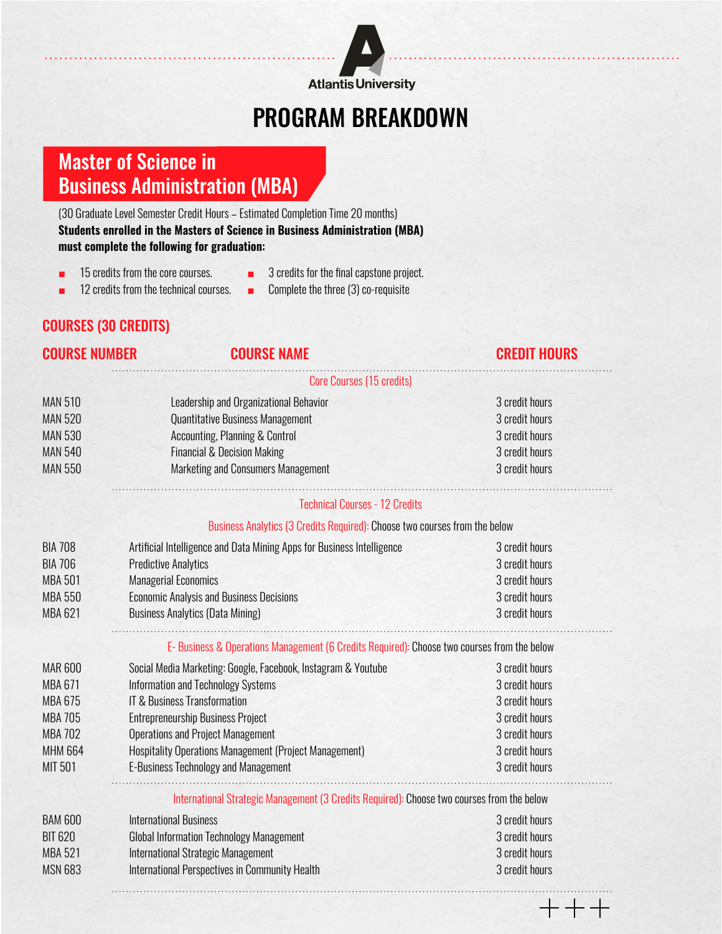

# PROGRAM BREAKDOWN

# Master of Science in Business Administration (MBA)

(30 Graduate Level Semester Credit Hours – Estimated Completion Time 20 months) **Students enrolled in the Masters of Science in Business Administration (MBA) must complete the following for graduation:** 

- 15 credits from the core courses.
- 3 credits for the final capstone project.
- 12 credits from the technical courses.
- Complete the three (3) co-requisite

## Courses (30 credits)

### COURSE NUMBER Course Name Credit Hours

Core Courses (15 credits)

| <b>MAN 510</b> | Leadership and Organizational Behavior                                                     | 3 credit hours |  |
|----------------|--------------------------------------------------------------------------------------------|----------------|--|
| <b>MAN 520</b> | <b>Quantitative Business Management</b>                                                    | 3 credit hours |  |
| <b>MAN 530</b> | Accounting, Planning & Control                                                             | 3 credit hours |  |
| <b>MAN 540</b> | <b>Financial &amp; Decision Making</b>                                                     | 3 credit hours |  |
| <b>MAN 550</b> | Marketing and Consumers Management                                                         | 3 credit hours |  |
|                | <b>Technical Courses - 12 Credits</b>                                                      |                |  |
|                | Business Analytics (3 Credits Required): Choose two courses from the below                 |                |  |
| <b>BIA 708</b> | Artificial Intelligence and Data Mining Apps for Business Intelligence                     | 3 credit hours |  |
| <b>BIA 706</b> | <b>Predictive Analytics</b>                                                                | 3 credit hours |  |
| <b>MBA 501</b> | <b>Managerial Economics</b>                                                                | 3 credit hours |  |
| <b>MBA 550</b> | <b>Economic Analysis and Business Decisions</b>                                            | 3 credit hours |  |
| <b>MBA 621</b> | <b>Business Analytics (Data Mining)</b>                                                    | 3 credit hours |  |
|                | E-Business & Operations Management (6 Credits Required): Choose two courses from the below |                |  |
| <b>MAR 600</b> | Social Media Marketing: Google, Facebook, Instagram & Youtube                              | 3 credit hours |  |
| <b>MBA 671</b> | Information and Technology Systems                                                         | 3 credit hours |  |
| <b>MBA 675</b> | <b>IT &amp; Business Transformation</b>                                                    | 3 credit hours |  |
| <b>MBA 705</b> | <b>Entrepreneurship Business Project</b>                                                   | 3 credit hours |  |
| <b>MBA 702</b> | <b>Operations and Project Management</b>                                                   | 3 credit hours |  |
| <b>MHM 664</b> | Hospitality Operations Management (Project Management)                                     | 3 credit hours |  |
| MIT 501        | <b>E-Business Technology and Management</b>                                                | 3 credit hours |  |
|                | International Strategic Management (3 Credits Required): Choose two courses from the below |                |  |
| <b>BAM 600</b> | <b>International Business</b>                                                              | 3 credit hours |  |
| <b>BIT 620</b> | <b>Global Information Technology Management</b>                                            | 3 credit hours |  |
| <b>MBA 521</b> | <b>International Strategic Management</b>                                                  | 3 credit hours |  |
| <b>MSN 683</b> | <b>International Perspectives in Community Health</b>                                      | 3 credit hours |  |
|                |                                                                                            |                |  |